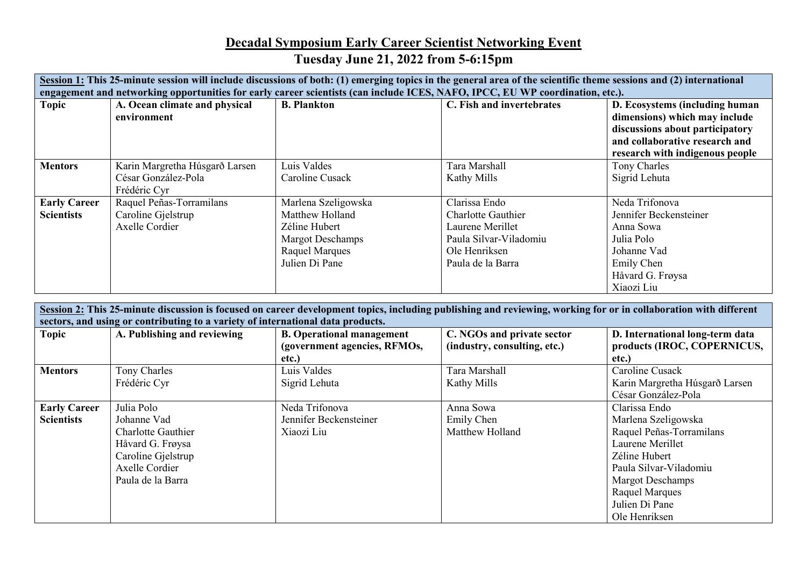## **Decadal Symposium Early Career Scientist Networking Event**

## **Tuesday June 21, 2022 from 5-6:15pm**

| Session 1: This 25-minute session will include discussions of both: (1) emerging topics in the general area of the scientific theme sessions and (2) international                                                                                  |                                |                                  |                              |                                 |  |  |
|-----------------------------------------------------------------------------------------------------------------------------------------------------------------------------------------------------------------------------------------------------|--------------------------------|----------------------------------|------------------------------|---------------------------------|--|--|
| engagement and networking opportunities for early career scientists (can include ICES, NAFO, IPCC, EU WP coordination, etc.).                                                                                                                       |                                |                                  |                              |                                 |  |  |
| Topic                                                                                                                                                                                                                                               | A. Ocean climate and physical  | <b>B.</b> Plankton               | C. Fish and invertebrates    | D. Ecosystems (including human  |  |  |
|                                                                                                                                                                                                                                                     | environment                    |                                  |                              | dimensions) which may include   |  |  |
|                                                                                                                                                                                                                                                     |                                |                                  |                              | discussions about participatory |  |  |
|                                                                                                                                                                                                                                                     |                                |                                  |                              | and collaborative research and  |  |  |
|                                                                                                                                                                                                                                                     |                                |                                  |                              | research with indigenous people |  |  |
| <b>Mentors</b>                                                                                                                                                                                                                                      | Karin Margretha Húsgarð Larsen | Luis Valdes                      | Tara Marshall                | Tony Charles                    |  |  |
|                                                                                                                                                                                                                                                     | César González-Pola            | Caroline Cusack                  | Kathy Mills                  | Sigrid Lehuta                   |  |  |
|                                                                                                                                                                                                                                                     | Frédéric Cyr                   |                                  |                              |                                 |  |  |
| <b>Early Career</b>                                                                                                                                                                                                                                 | Raquel Peñas-Torramilans       | Marlena Szeligowska              | Clarissa Endo                | Neda Trifonova                  |  |  |
| <b>Scientists</b>                                                                                                                                                                                                                                   | Caroline Gjelstrup             | Matthew Holland                  | <b>Charlotte Gauthier</b>    | Jennifer Beckensteiner          |  |  |
|                                                                                                                                                                                                                                                     | Axelle Cordier                 | Zéline Hubert                    | Laurene Merillet             | Anna Sowa                       |  |  |
|                                                                                                                                                                                                                                                     |                                | <b>Margot Deschamps</b>          | Paula Silvar-Viladomiu       | Julia Polo                      |  |  |
|                                                                                                                                                                                                                                                     |                                | Raquel Marques                   | Ole Henriksen                | Johanne Vad                     |  |  |
|                                                                                                                                                                                                                                                     |                                | Julien Di Pane                   | Paula de la Barra            | Emily Chen                      |  |  |
|                                                                                                                                                                                                                                                     |                                |                                  |                              | Håvard G. Frøysa                |  |  |
|                                                                                                                                                                                                                                                     |                                |                                  |                              | Xiaozi Liu                      |  |  |
|                                                                                                                                                                                                                                                     |                                |                                  |                              |                                 |  |  |
| Session 2: This 25-minute discussion is focused on career development topics, including publishing and reviewing, working for or in collaboration with different<br>sectors, and using or contributing to a variety of international data products. |                                |                                  |                              |                                 |  |  |
|                                                                                                                                                                                                                                                     |                                |                                  |                              |                                 |  |  |
| <b>Topic</b>                                                                                                                                                                                                                                        | A. Publishing and reviewing    | <b>B.</b> Operational management | C. NGOs and private sector   | D. International long-term data |  |  |
|                                                                                                                                                                                                                                                     |                                | (government agencies, RFMOs,     | (industry, consulting, etc.) | products (IROC, COPERNICUS,     |  |  |
|                                                                                                                                                                                                                                                     |                                | etc.)                            |                              | etc.)                           |  |  |
| <b>Mentors</b>                                                                                                                                                                                                                                      | Tony Charles                   | Luis Valdes                      | Tara Marshall                | Caroline Cusack                 |  |  |
|                                                                                                                                                                                                                                                     | Frédéric Cyr                   | Sigrid Lehuta                    | Kathy Mills                  | Karin Margretha Húsgarð Larsen  |  |  |
|                                                                                                                                                                                                                                                     |                                |                                  |                              | César González-Pola             |  |  |
| <b>Early Career</b>                                                                                                                                                                                                                                 | Julia Polo                     | Neda Trifonova                   | Anna Sowa                    | Clarissa Endo                   |  |  |
| <b>Scientists</b>                                                                                                                                                                                                                                   | Johanne Vad                    | Jennifer Beckensteiner           | Emily Chen                   | Marlena Szeligowska             |  |  |
|                                                                                                                                                                                                                                                     | <b>Charlotte Gauthier</b>      | Xiaozi Liu                       | Matthew Holland              | Raquel Peñas-Torramilans        |  |  |
|                                                                                                                                                                                                                                                     | Håvard G. Frøysa               |                                  |                              | Laurene Merillet                |  |  |
|                                                                                                                                                                                                                                                     | Caroline Gjelstrup             |                                  |                              | Zéline Hubert                   |  |  |
|                                                                                                                                                                                                                                                     | Axelle Cordier                 |                                  |                              | Paula Silvar-Viladomiu          |  |  |
|                                                                                                                                                                                                                                                     | Paula de la Barra              |                                  |                              | <b>Margot Deschamps</b>         |  |  |
|                                                                                                                                                                                                                                                     |                                |                                  |                              | Raquel Marques                  |  |  |
|                                                                                                                                                                                                                                                     |                                |                                  |                              | Julien Di Pane                  |  |  |

Ole Henriksen